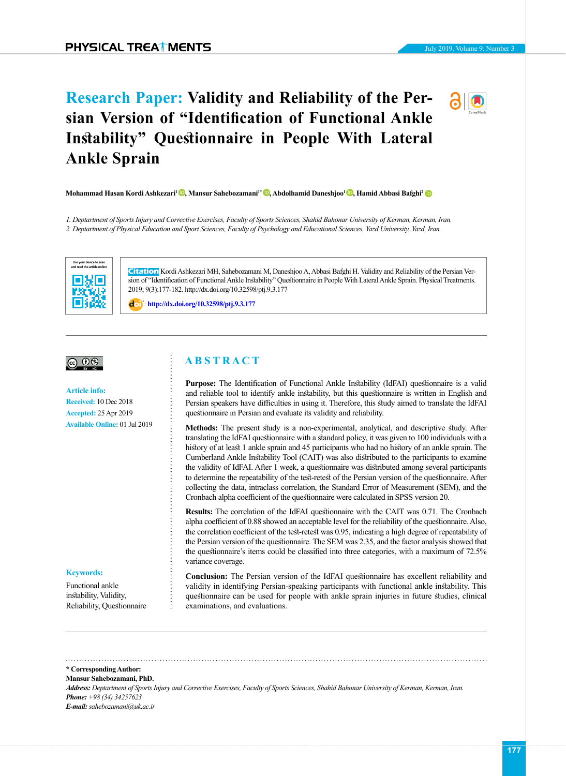# **Research Paper: Validity and Reliability of the Persian Version of "Identification of Functional Ankle Instability" Questionnaire in People With Lateral Ankle Sprain**



*1. Deptartment of Sports Injury and Corrective Exercises, Faculty of Sports Sciences, Shahid Bahonar University of Kerman, Kerman, Iran. 2. Deptartment of Physical Education and Sport Sciences, Faculty of Psychology and Educational Sciences, Yazd University, Yazd, Iran.*



**Citation** Kordi Ashkezari MH, Sahebozamani M, Daneshjoo A, Abbasi Bafghi H. Validity and Reliability of the Persian Version of "Identification of Functional Ankle Instability" Questionnaire in People With Lateral Ankle Sprain. Physical Treatments. 2019; 9(3):177-182. http://dx.doi.org/10.32598/ptj.9.3.177

: **<http://dx.doi.org/10.32598/ptj.9.3.177>**

# |ര 0⊛

#### **Article info:**

**Received:** 10 Dec 2018 **Accepted:** 25 Apr 2019 **Available Online:** 01 Jul 2019

# **A B S T R A C T**

**Purpose:** The Identification of Functional Ankle Instability (IdFAI) questionnaire is a valid and reliable tool to identify ankle instability, but this questionnaire is written in English and Persian speakers have difficulties in using it. Therefore, this study aimed to translate the IdFAI questionnaire in Persian and evaluate its validity and reliability.

**Methods:** The present study is a non-experimental, analytical, and descriptive study. After translating the IdFAI questionnaire with a standard policy, it was given to 100 individuals with a history of at least 1 ankle sprain and 45 participants who had no history of an ankle sprain. The Cumberland Ankle Instability Tool (CAIT) was also distributed to the participants to examine the validity of IdFAI. After 1 week, a questionnaire was distributed among several participants to determine the repeatability of the test-retest of the Persian version of the questionnaire. After collecting the data, intraclass correlation, the Standard Error of Measurement (SEM), and the Cronbach alpha coefficient of the questionnaire were calculated in SPSS version 20.

**Results:** The correlation of the IdFAI questionnaire with the CAIT was 0.71. The Cronbach alpha coefficient of 0.88 showed an acceptable level for the reliability of the questionnaire. Also, the correlation coefficient of the test-retest was 0.95, indicating a high degree of repeatability of the Persian version of the questionnaire. The SEM was 2.35, and the factor analysis showed that the questionnaire's items could be classified into three categories, with a maximum of 72.5% variance coverage.

**Conclusion:** The Persian version of the IdFAI questionnaire has excellent reliability and validity in identifying Persian-speaking participants with functional ankle instability. This questionnaire can be used for people with ankle sprain injuries in future studies, clinical examinations, and evaluations.

# **Keywords:**

Functional ankle instability, Validity, Reliability, Questionnaire

**\* Corresponding Author: Mansur Sahebozamani, PhD.** *Address: Deptartment of Sports Injury and Corrective Exercises, Faculty of Sports Sciences, Shahid Bahonar University of Kerman, Kerman, Iran. Phone: +98 (34) 34257623 E-mail: sahebozamani@uk.ac.ir*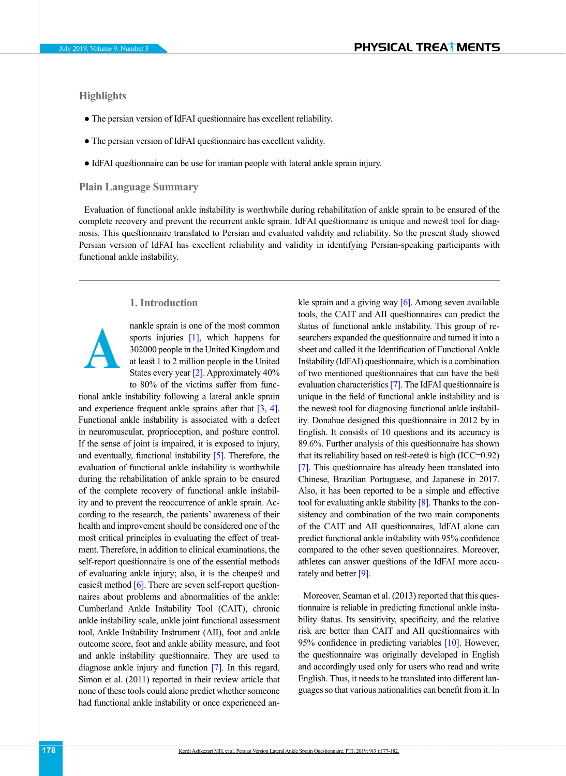# **Highlights**

- The persian version of IdFAI questionnaire has excellent reliability.
- The persian version of IdFAI questionnaire has excellent validity.
- IdFAI questionnaire can be use for iranian people with lateral ankle sprain injury.

# **Plain Language Summary**

Evaluation of functional ankle instability is worthwhile during rehabilitation of ankle sprain to be ensured of the complete recovery and prevent the recurrent ankle sprain. IdFAI questionnaire is unique and newest tool for diagnosis. This questionnaire translated to Persian and evaluated validity and reliability. So the present study showed Persian version of IdFAI has excellent reliability and validity in identifying Persian-speaking participants with functional ankle instability.

# **1. Introduction**



nankle sprain is one of the most common sports injuries [\[1\],](#page-4-0) which happens for 302000 people in the United Kingdom and at least 1 to 2 million people in the United States every year  $[2]$ . Approximately 40% to 80% of the victims suffer from func-

tional ankle instability following a lateral ankle sprain and experience frequent ankle sprains after that [\[3,](#page-5-1) [4\].](#page-5-2) Functional ankle instability is associated with a defect in neuromuscular, proprioception, and posture control. If the sense of joint is impaired, it is exposed to injury, and eventually, functional instability [\[5\].](#page-5-3) Therefore, the evaluation of functional ankle instability is worthwhile during the rehabilitation of ankle sprain to be ensured of the complete recovery of functional ankle instability and to prevent the reoccurrence of ankle sprain. According to the research, the patients' awareness of their health and improvement should be considered one of the most critical principles in evaluating the effect of treatment. Therefore, in addition to clinical examinations, the self-report questionnaire is one of the essential methods of evaluating ankle injury; also, it is the cheapest and easiest method  $[6]$ . There are seven self-report questionnaires about problems and abnormalities of the ankle: Cumberland Ankle Instability Tool (CAIT), chronic ankle instability scale, ankle joint functional assessment tool, Ankle Instability Instrument (AII), foot and ankle outcome score, foot and ankle ability measure, and foot and ankle instability questionnaire. They are used to diagnose ankle injury and function [\[7\].](#page-5-5) In this regard, Simon et al. (2011) reported in their review article that none of these tools could alone predict whether someone had functional ankle instability or once experienced ankle sprain and a giving way  $[6]$ . Among seven available tools, the CAIT and AII questionnaires can predict the status of functional ankle instability. This group of researchers expanded the questionnaire and turned it into a sheet and called it the Identification of Functional Ankle Instability (IdFAI) questionnaire, which is a combination of two mentioned questionnaires that can have the best evaluation characteristics [\[7\].](#page-5-5) The IdFAI questionnaire is unique in the field of functional ankle instability and is the newest tool for diagnosing functional ankle instability. Donahue designed this questionnaire in 2012 by in English. It consists of 10 questions and its accuracy is 89.6%. Further analysis of this questionnaire has shown that its reliability based on test-retest is high (ICC=0.92) [\[7\]](#page-5-5). This questionnaire has already been translated into Chinese, Brazilian Portuguese, and Japanese in 2017. Also, it has been reported to be a simple and effective tool for evaluating ankle stability  $[8]$ . Thanks to the consistency and combination of the two main components of the CAIT and AII questionnaires, IdFAI alone can predict functional ankle instability with 95% confidence compared to the other seven questionnaires. Moreover, athletes can answer questions of the IdFAI more accu-rately and better [\[9\]](#page-5-7).

Moreover, Seaman et al. (2013) reported that this questionnaire is reliable in predicting functional ankle instability status. Its sensitivity, specificity, and the relative risk are better than CAIT and AII questionnaires with 95% confidence in predicting variables [\[10\].](#page-5-8) However, the questionnaire was originally developed in English and accordingly used only for users who read and write English. Thus, it needs to be translated into different languages so that various nationalities can benefit from it. In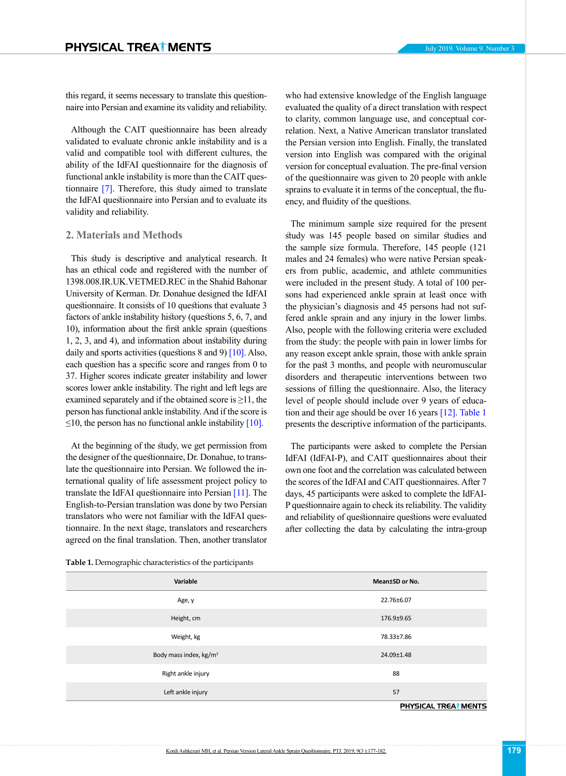this regard, it seems necessary to translate this questionnaire into Persian and examine its validity and reliability.

Although the CAIT questionnaire has been already validated to evaluate chronic ankle instability and is a valid and compatible tool with different cultures, the ability of the IdFAI questionnaire for the diagnosis of functional ankle instability is more than the CAIT questionnaire [\[7\]](#page-5-5). Therefore, this study aimed to translate the IdFAI questionnaire into Persian and to evaluate its validity and reliability.

### **2. Materials and Methods**

This study is descriptive and analytical research. It has an ethical code and registered with the number of 1398.008.IR.UK.VETMED.REC in the Shahid Bahonar University of Kerman. Dr. Donahue designed the IdFAI questionnaire. It consists of 10 questions that evaluate 3 factors of ankle instability history (questions 5, 6, 7, and 10), information about the first ankle sprain (questions 1, 2, 3, and 4), and information about instability during daily and sports activities (questions  $8$  and  $9$ ) [\[10\].](#page-5-8) Also, each question has a specific score and ranges from 0 to 37. Higher scores indicate greater instability and lower scores lower ankle instability. The right and left legs are examined separately and if the obtained score is  $\geq 11$ , the person has functional ankle instability. And if the score is  $\leq$ 10, the person has no functional ankle instability [\[10\].](#page-5-8)

At the beginning of the study, we get permission from the designer of the questionnaire, Dr. Donahue, to translate the questionnaire into Persian. We followed the international quality of life assessment project policy to translate the IdFAI questionnaire into Persian [\[11\].](#page-5-9) The English-to-Persian translation was done by two Persian translators who were not familiar with the IdFAI questionnaire. In the next stage, translators and researchers agreed on the final translation. Then, another translator who had extensive knowledge of the English language evaluated the quality of a direct translation with respect to clarity, common language use, and conceptual correlation. Next, a Native American translator translated the Persian version into English. Finally, the translated version into English was compared with the original version for conceptual evaluation. The pre-final version of the questionnaire was given to 20 people with ankle sprains to evaluate it in terms of the conceptual, the fluency, and fluidity of the questions.

The minimum sample size required for the present study was 145 people based on similar studies and the sample size formula. Therefore, 145 people (121 males and 24 females) who were native Persian speakers from public, academic, and athlete communities were included in the present study. A total of 100 persons had experienced ankle sprain at least once with the physician's diagnosis and 45 persons had not suffered ankle sprain and any injury in the lower limbs. Also, people with the following criteria were excluded from the study: the people with pain in lower limbs for any reason except ankle sprain, those with ankle sprain for the past 3 months, and people with neuromuscular disorders and therapeutic interventions between two sessions of filling the questionnaire. Also, the literacy level of people should include over 9 years of education and their age should be over 16 years [\[12\].](#page-5-10) [Table 1](#page-2-0) presents the descriptive information of the participants.

The participants were asked to complete the Persian IdFAI (IdFAI-P), and CAIT questionnaires about their own one foot and the correlation was calculated between the scores of the IdFAI and CAIT questionnaires. After 7 days, 45 participants were asked to complete the IdFAI-P questionnaire again to check its reliability. The validity and reliability of questionnaire questions were evaluated after collecting the data by calculating the intra-group

<span id="page-2-0"></span>**Table 1.** Demographic characteristics of the participants

| Variable                           | Mean±SD or No.       |
|------------------------------------|----------------------|
| Age, y                             | 22.76±6.07           |
| Height, cm                         | 176.9±9.65           |
| Weight, kg                         | 78.33±7.86           |
| Body mass index, kg/m <sup>2</sup> | 24.09±1.48           |
| Right ankle injury                 | 88                   |
| Left ankle injury                  | 57                   |
|                                    | PHYSICAL TREAT MENTS |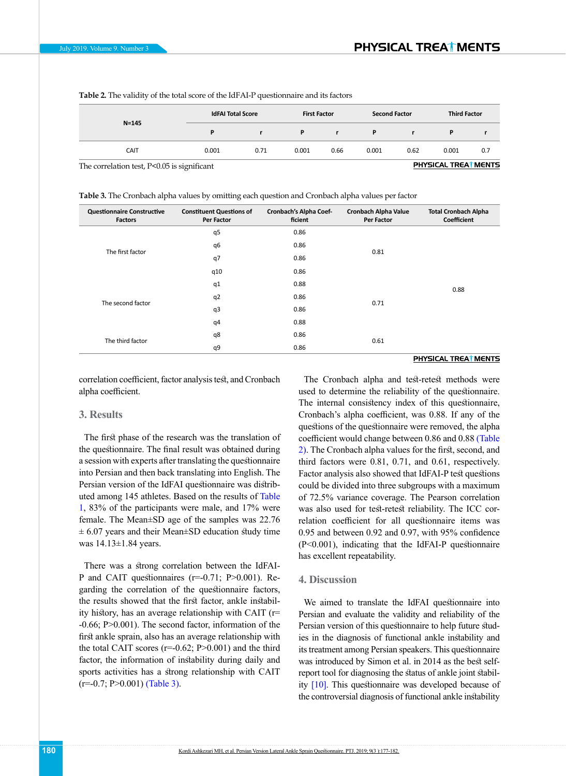| $N = 145$                                   | <b>IdFAI Total Score</b> |      | <b>First Factor</b> |      | <b>Second Factor</b> |      | <b>Third Factor</b>         |     |
|---------------------------------------------|--------------------------|------|---------------------|------|----------------------|------|-----------------------------|-----|
|                                             | D                        |      | P                   |      | P                    |      |                             |     |
| <b>CAIT</b>                                 | 0.001                    | 0.71 | 0.001               | 0.66 | 0.001                | 0.62 | 0.001                       | 0.7 |
| The correlation test. P<0.05 is significant |                          |      |                     |      |                      |      | <b>PHYSICAL TREAT MENTS</b> |     |

<span id="page-3-1"></span>**Table 2.** The validity of the total score of the IdFAI-P questionnaire and its factors

The correlation test, P<0.05 is significant

<span id="page-3-0"></span>**Table 3.** The Cronbach alpha values by omitting each question and Cronbach alpha values per factor

| <b>Questionnaire Constructive</b><br><b>Factors</b> | <b>Constituent Questions of</b><br><b>Per Factor</b> | Cronbach's Alpha Coef-<br>ficient | <b>Cronbach Alpha Value</b><br><b>Per Factor</b> | <b>Total Cronbach Alpha</b><br>Coefficient |  |
|-----------------------------------------------------|------------------------------------------------------|-----------------------------------|--------------------------------------------------|--------------------------------------------|--|
| The first factor                                    | q5                                                   | 0.86                              |                                                  |                                            |  |
|                                                     | q6                                                   | 0.86                              |                                                  |                                            |  |
|                                                     | q7                                                   | 0.86                              | 0.81                                             |                                            |  |
|                                                     | q10                                                  | 0.86                              |                                                  |                                            |  |
| The second factor                                   | q1                                                   | 0.88                              |                                                  | 0.88                                       |  |
|                                                     | q <sub>2</sub>                                       | 0.86                              | 0.71                                             |                                            |  |
|                                                     | q3                                                   | 0.86                              |                                                  |                                            |  |
|                                                     | q4                                                   | 0.88                              |                                                  |                                            |  |
| The third factor                                    | q8                                                   | 0.86                              | 0.61                                             |                                            |  |
|                                                     | q9                                                   | 0.86                              |                                                  |                                            |  |

correlation coefficient, factor analysis test, and Cronbach alpha coefficient.

#### **3. Results**

The first phase of the research was the translation of the questionnaire. The final result was obtained during a session with experts after translating the questionnaire into Persian and then back translating into English. The Persian version of the IdFAI questionnaire was distributed among 145 athletes. Based on the results of Table [1,](#page-2-0) 83% of the participants were male, and 17% were female. The Mean±SD age of the samples was 22.76  $\pm$  6.07 years and their Mean $\pm$ SD education study time was 14.13±1.84 years.

There was a strong correlation between the IdFAI-P and CAIT questionnaires (r=-0.71; P>0.001). Regarding the correlation of the questionnaire factors, the results showed that the first factor, ankle instability history, has an average relationship with CAIT (r= -0.66; P>0.001). The second factor, information of the first ankle sprain, also has an average relationship with the total CAIT scores  $(r=0.62; P>0.001)$  and the third factor, the information of instability during daily and sports activities has a strong relationship with CAIT  $(r=0.7; P>0.001)$  [\(Table 3\).](#page-3-0)

#### PHYSICAL TREAT MENTS

The Cronbach alpha and test-retest methods were used to determine the reliability of the questionnaire. The internal consistency index of this questionnaire, Cronbach's alpha coefficient, was 0.88. If any of the questions of the questionnaire were removed, the alpha coefficient would change between 0.86 and 0.88 [\(Table](#page-3-1)  [2\).](#page-3-1) The Cronbach alpha values for the first, second, and third factors were 0.81, 0.71, and 0.61, respectively. Factor analysis also showed that IdFAI-P test questions could be divided into three subgroups with a maximum of 72.5% variance coverage. The Pearson correlation was also used for test-retest reliability. The ICC correlation coefficient for all questionnaire items was 0.95 and between 0.92 and 0.97, with 95% confidence (P<0.001), indicating that the IdFAI-P questionnaire has excellent repeatability.

# **4. Discussion**

We aimed to translate the IdFAI questionnaire into Persian and evaluate the validity and reliability of the Persian version of this questionnaire to help future studies in the diagnosis of functional ankle instability and its treatment among Persian speakers. This questionnaire was introduced by Simon et al. in 2014 as the best selfreport tool for diagnosing the status of ankle joint stability [\[10\].](#page-5-8) This questionnaire was developed because of the controversial diagnosis of functional ankle instability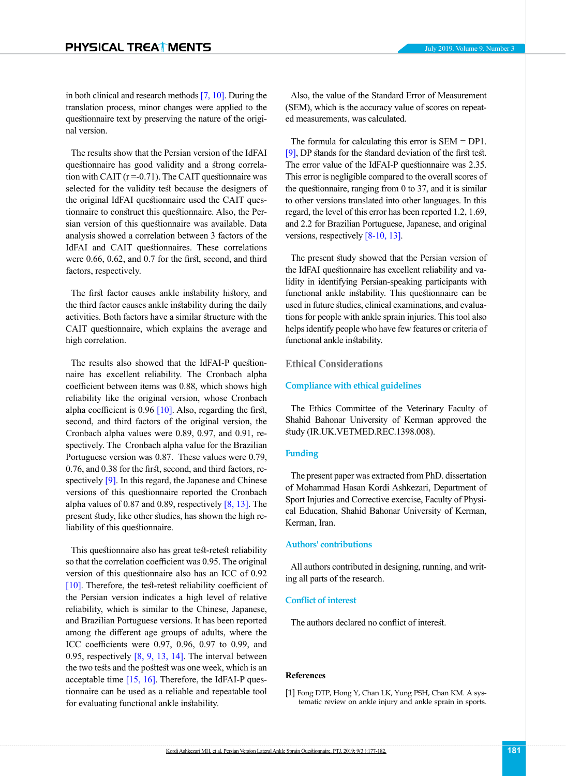in both clinical and research methods [\[7,](#page-5-5) [10\].](#page-5-8) During the translation process, minor changes were applied to the questionnaire text by preserving the nature of the original version.

The results show that the Persian version of the IdFAI questionnaire has good validity and a strong correlation with CAIT  $(r = 0.71)$ . The CAIT questionnaire was selected for the validity test because the designers of the original IdFAI questionnaire used the CAIT questionnaire to construct this questionnaire. Also, the Persian version of this questionnaire was available. Data analysis showed a correlation between 3 factors of the IdFAI and CAIT questionnaires. These correlations were 0.66, 0.62, and 0.7 for the first, second, and third factors, respectively.

The first factor causes ankle instability history, and the third factor causes ankle instability during the daily activities. Both factors have a similar structure with the CAIT questionnaire, which explains the average and high correlation.

The results also showed that the IdFAI-P questionnaire has excellent reliability. The Cronbach alpha coefficient between items was 0.88, which shows high reliability like the original version, whose Cronbach alpha coefficient is  $0.96$  [\[10\]](#page-5-8). Also, regarding the first, second, and third factors of the original version, the Cronbach alpha values were 0.89, 0.97, and 0.91, respectively. The Cronbach alpha value for the Brazilian Portuguese version was 0.87. These values were 0.79, 0.76, and 0.38 for the first, second, and third factors, re-spectively [\[9\].](#page-5-7) In this regard, the Japanese and Chinese versions of this questionnaire reported the Cronbach alpha values of 0.87 and 0.89, respectively  $[8, 13]$ . The present study, like other studies, has shown the high reliability of this questionnaire.

This questionnaire also has great test-retest reliability so that the correlation coefficient was 0.95. The original version of this questionnaire also has an ICC of 0.92 [\[10\]](#page-5-8). Therefore, the test-retest reliability coefficient of the Persian version indicates a high level of relative reliability, which is similar to the Chinese, Japanese, and Brazilian Portuguese versions. It has been reported among the different age groups of adults, where the ICC coefficients were 0.97, 0.96, 0.97 to 0.99, and 0.95, respectively  $[8, 9, 13, 14]$  $[8, 9, 13, 14]$  $[8, 9, 13, 14]$  $[8, 9, 13, 14]$ . The interval between the two tests and the posttest was one week, which is an acceptable time  $[15, 16]$  $[15, 16]$ . Therefore, the IdFAI-P questionnaire can be used as a reliable and repeatable tool for evaluating functional ankle instability.

Also, the value of the Standard Error of Measurement (SEM), which is the accuracy value of scores on repeated measurements, was calculated.

The formula for calculating this error is  $SEM = DP1$ . [\[9\],](#page-5-7) DP stands for the standard deviation of the first test. The error value of the IdFAI-P questionnaire was 2.35. This error is negligible compared to the overall scores of the questionnaire, ranging from 0 to 37, and it is similar to other versions translated into other languages. In this regard, the level of this error has been reported 1.2, 1.69, and 2.2 for Brazilian Portuguese, Japanese, and original versions, respectively [\[8](#page-5-6)-10, [13\].](#page-5-11)

The present study showed that the Persian version of the IdFAI questionnaire has excellent reliability and validity in identifying Persian-speaking participants with functional ankle instability. This questionnaire can be used in future studies, clinical examinations, and evaluations for people with ankle sprain injuries. This tool also helps identify people who have few features or criteria of functional ankle instability.

# **Ethical Considerations**

## **Compliance with ethical guidelines**

The Ethics Committee of the Veterinary Faculty of Shahid Bahonar University of Kerman approved the study (IR.UK.VETMED.REC.1398.008).

# **Funding**

The present paper was extracted from PhD. dissertation of Mohammad Hasan Kordi Ashkezari, Department of Sport Injuries and Corrective exercise, Faculty of Physical Education, Shahid Bahonar University of Kerman, Kerman, Iran.

# **Authors' contributions**

All authors contributed in designing, running, and writing all parts of the research.

# **Conflict of interest**

The authors declared no conflict of interest.

## **References**

<span id="page-4-0"></span>[1] Fong DTP, Hong Y, Chan LK, Yung PSH, Chan KM. A systematic review on ankle injury and ankle sprain in sports.